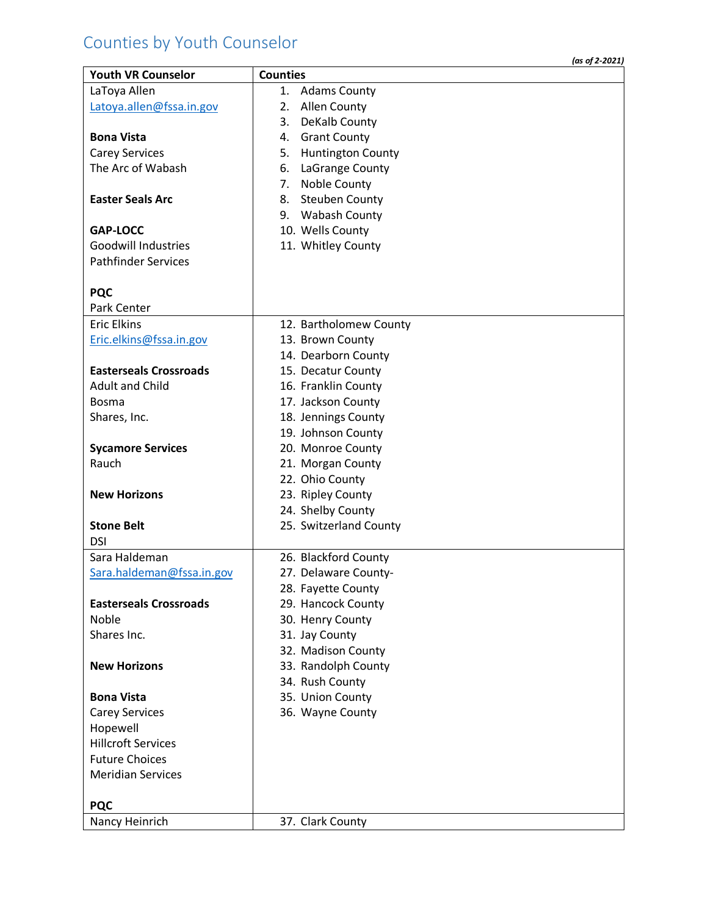## Counties by Youth Counselor

|                               | (as of 2-2021)                 |
|-------------------------------|--------------------------------|
| <b>Youth VR Counselor</b>     | <b>Counties</b>                |
| LaToya Allen                  | <b>Adams County</b><br>1.      |
| Latoya.allen@fssa.in.gov      | Allen County<br>2.             |
|                               | DeKalb County<br>3.            |
| <b>Bona Vista</b>             | <b>Grant County</b><br>4.      |
| <b>Carey Services</b>         | <b>Huntington County</b><br>5. |
| The Arc of Wabash             | LaGrange County<br>6.          |
|                               | Noble County<br>7.             |
| <b>Easter Seals Arc</b>       | <b>Steuben County</b><br>8.    |
|                               | 9. Wabash County               |
| <b>GAP-LOCC</b>               | 10. Wells County               |
| <b>Goodwill Industries</b>    | 11. Whitley County             |
| <b>Pathfinder Services</b>    |                                |
|                               |                                |
| <b>PQC</b>                    |                                |
| Park Center                   |                                |
| <b>Eric Elkins</b>            | 12. Bartholomew County         |
| Eric.elkins@fssa.in.gov       | 13. Brown County               |
|                               | 14. Dearborn County            |
| <b>Easterseals Crossroads</b> | 15. Decatur County             |
| <b>Adult and Child</b>        | 16. Franklin County            |
| <b>Bosma</b>                  | 17. Jackson County             |
| Shares, Inc.                  | 18. Jennings County            |
|                               | 19. Johnson County             |
| <b>Sycamore Services</b>      | 20. Monroe County              |
| Rauch                         | 21. Morgan County              |
|                               | 22. Ohio County                |
| <b>New Horizons</b>           | 23. Ripley County              |
|                               | 24. Shelby County              |
| <b>Stone Belt</b>             | 25. Switzerland County         |
| <b>DSI</b>                    |                                |
| Sara Haldeman                 | 26. Blackford County           |
| Sara.haldeman@fssa.in.gov     | 27. Delaware County-           |
|                               | 28. Fayette County             |
| <b>Easterseals Crossroads</b> | 29. Hancock County             |
| <b>Noble</b>                  | 30. Henry County               |
| Shares Inc.                   | 31. Jay County                 |
|                               | 32. Madison County             |
| <b>New Horizons</b>           | 33. Randolph County            |
|                               | 34. Rush County                |
| <b>Bona Vista</b>             | 35. Union County               |
| <b>Carey Services</b>         | 36. Wayne County               |
| Hopewell                      |                                |
| <b>Hillcroft Services</b>     |                                |
| <b>Future Choices</b>         |                                |
| <b>Meridian Services</b>      |                                |
|                               |                                |
| <b>PQC</b>                    |                                |
| Nancy Heinrich                | 37. Clark County               |
|                               |                                |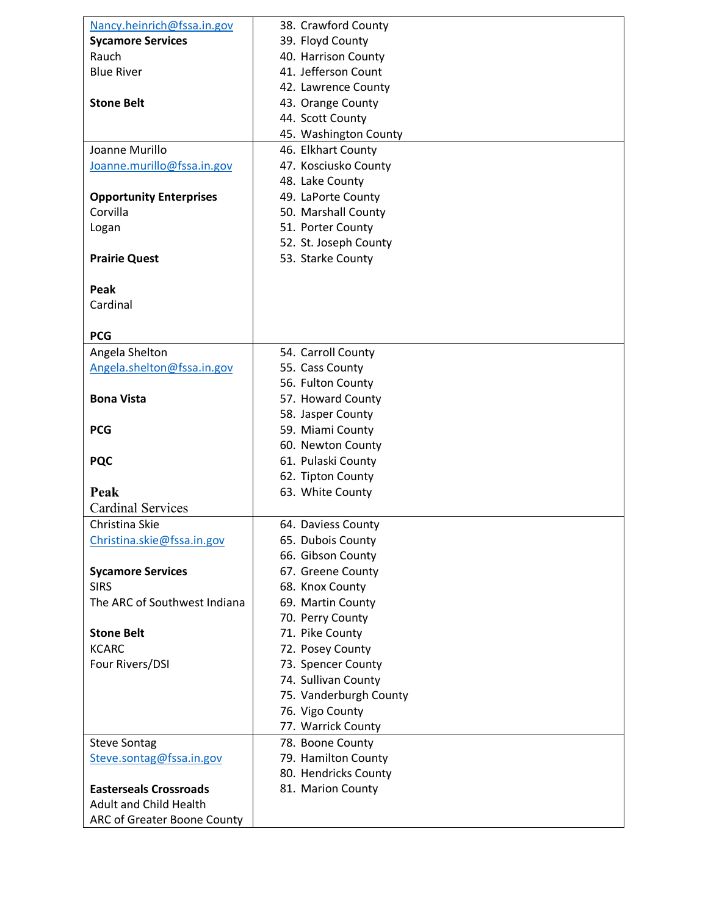| Nancy.heinrich@fssa.in.gov     | 38. Crawford County    |
|--------------------------------|------------------------|
| <b>Sycamore Services</b>       | 39. Floyd County       |
| Rauch                          | 40. Harrison County    |
| <b>Blue River</b>              | 41. Jefferson Count    |
|                                | 42. Lawrence County    |
| <b>Stone Belt</b>              | 43. Orange County      |
|                                | 44. Scott County       |
|                                | 45. Washington County  |
| Joanne Murillo                 | 46. Elkhart County     |
| Joanne.murillo@fssa.in.gov     | 47. Kosciusko County   |
|                                | 48. Lake County        |
| <b>Opportunity Enterprises</b> | 49. LaPorte County     |
| Corvilla                       | 50. Marshall County    |
| Logan                          | 51. Porter County      |
|                                | 52. St. Joseph County  |
| <b>Prairie Quest</b>           | 53. Starke County      |
|                                |                        |
| Peak                           |                        |
| Cardinal                       |                        |
|                                |                        |
| <b>PCG</b>                     |                        |
| Angela Shelton                 | 54. Carroll County     |
| Angela.shelton@fssa.in.gov     | 55. Cass County        |
|                                | 56. Fulton County      |
| <b>Bona Vista</b>              | 57. Howard County      |
|                                | 58. Jasper County      |
| <b>PCG</b>                     | 59. Miami County       |
|                                | 60. Newton County      |
| <b>PQC</b>                     | 61. Pulaski County     |
|                                | 62. Tipton County      |
| Peak                           | 63. White County       |
| <b>Cardinal Services</b>       |                        |
| Christina Skie                 | 64. Daviess County     |
| Christina.skie@fssa.in.gov     | 65. Dubois County      |
|                                | 66. Gibson County      |
| <b>Sycamore Services</b>       | 67. Greene County      |
| <b>SIRS</b>                    | 68. Knox County        |
| The ARC of Southwest Indiana   | 69. Martin County      |
|                                | 70. Perry County       |
| <b>Stone Belt</b>              | 71. Pike County        |
| <b>KCARC</b>                   | 72. Posey County       |
| Four Rivers/DSI                | 73. Spencer County     |
|                                | 74. Sullivan County    |
|                                | 75. Vanderburgh County |
|                                | 76. Vigo County        |
|                                | 77. Warrick County     |
| <b>Steve Sontag</b>            | 78. Boone County       |
| Steve.sontag@fssa.in.gov       | 79. Hamilton County    |
|                                | 80. Hendricks County   |
| <b>Easterseals Crossroads</b>  | 81. Marion County      |
| <b>Adult and Child Health</b>  |                        |
| ARC of Greater Boone County    |                        |